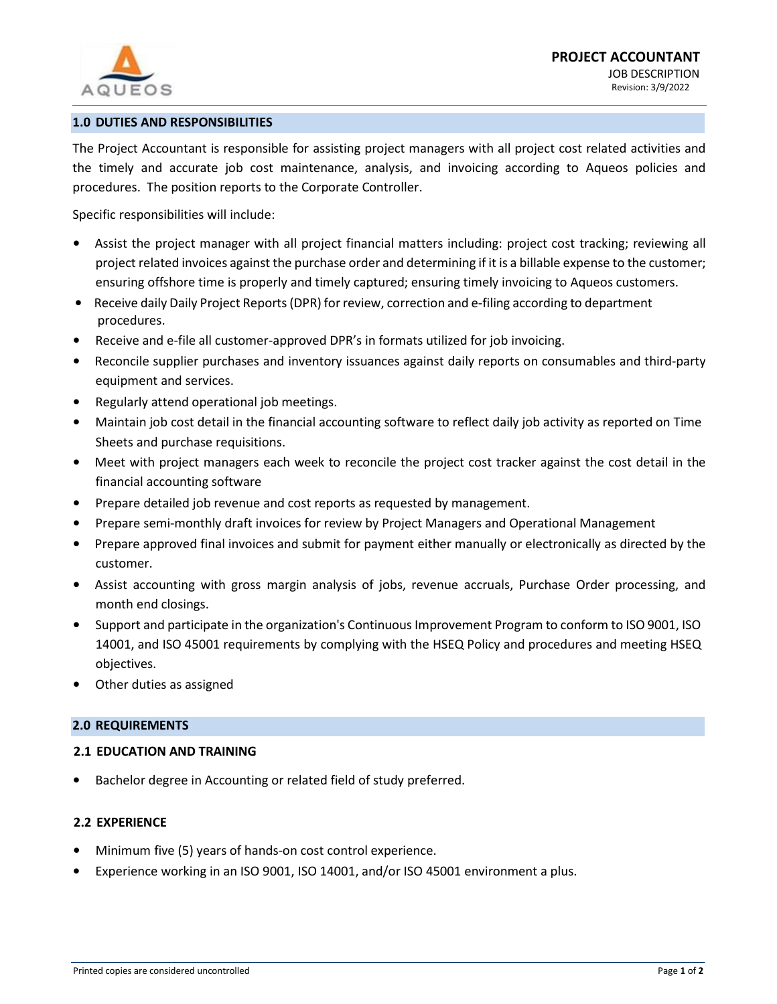

# **1.0 DUTIES AND RESPONSIBILITIES**

The Project Accountant is responsible for assisting project managers with all project cost related activities and the timely and accurate job cost maintenance, analysis, and invoicing according to Aqueos policies and procedures. The position reports to the Corporate Controller.

Specific responsibilities will include:

- Assist the project manager with all project financial matters including: project cost tracking; reviewing all project related invoices against the purchase order and determining if it is a billable expense to the customer; ensuring offshore time is properly and timely captured; ensuring timely invoicing to Aqueos customers.
- Receive daily Daily Project Reports (DPR) for review, correction and e-filing according to department procedures.
- Receive and e-file all customer-approved DPR's in formats utilized for job invoicing.
- Reconcile supplier purchases and inventory issuances against daily reports on consumables and third-party equipment and services.
- Regularly attend operational job meetings.
- Maintain job cost detail in the financial accounting software to reflect daily job activity as reported on Time Sheets and purchase requisitions.
- Meet with project managers each week to reconcile the project cost tracker against the cost detail in the financial accounting software
- Prepare detailed job revenue and cost reports as requested by management.
- Prepare semi-monthly draft invoices for review by Project Managers and Operational Management
- Prepare approved final invoices and submit for payment either manually or electronically as directed by the customer.
- Assist accounting with gross margin analysis of jobs, revenue accruals, Purchase Order processing, and month end closings.
- Support and participate in the organization's Continuous Improvement Program to conform to ISO 9001, ISO 14001, and ISO 45001 requirements by complying with the HSEQ Policy and procedures and meeting HSEQ objectives.
- Other duties as assigned

### **2.0 REQUIREMENTS**

### **2.1 EDUCATION AND TRAINING**

Bachelor degree in Accounting or related field of study preferred.

# **2.2 EXPERIENCE**

- Minimum five (5) years of hands-on cost control experience.
- Experience working in an ISO 9001, ISO 14001, and/or ISO 45001 environment a plus.